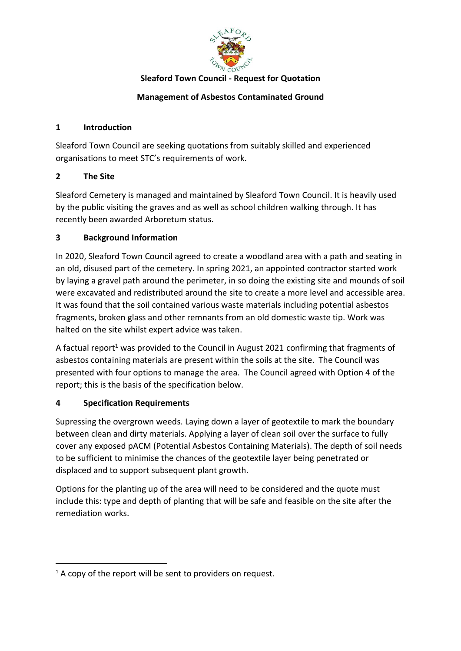

#### **Sleaford Town Council - Request for Quotation**

## **Management of Asbestos Contaminated Ground**

#### **1 Introduction**

Sleaford Town Council are seeking quotations from suitably skilled and experienced organisations to meet STC's requirements of work.

## **2 The Site**

Sleaford Cemetery is managed and maintained by Sleaford Town Council. It is heavily used by the public visiting the graves and as well as school children walking through. It has recently been awarded Arboretum status.

## **3 Background Information**

In 2020, Sleaford Town Council agreed to create a woodland area with a path and seating in an old, disused part of the cemetery. In spring 2021, an appointed contractor started work by laying a gravel path around the perimeter, in so doing the existing site and mounds of soil were excavated and redistributed around the site to create a more level and accessible area. It was found that the soil contained various waste materials including potential asbestos fragments, broken glass and other remnants from an old domestic waste tip. Work was halted on the site whilst expert advice was taken.

A factual report<sup>1</sup> was provided to the Council in August 2021 confirming that fragments of asbestos containing materials are present within the soils at the site. The Council was presented with four options to manage the area. The Council agreed with Option 4 of the report; this is the basis of the specification below.

# **4 Specification Requirements**

Supressing the overgrown weeds. Laying down a layer of geotextile to mark the boundary between clean and dirty materials. Applying a layer of clean soil over the surface to fully cover any exposed pACM (Potential Asbestos Containing Materials). The depth of soil needs to be sufficient to minimise the chances of the geotextile layer being penetrated or displaced and to support subsequent plant growth.

Options for the planting up of the area will need to be considered and the quote must include this: type and depth of planting that will be safe and feasible on the site after the remediation works.

 $1A$  copy of the report will be sent to providers on request.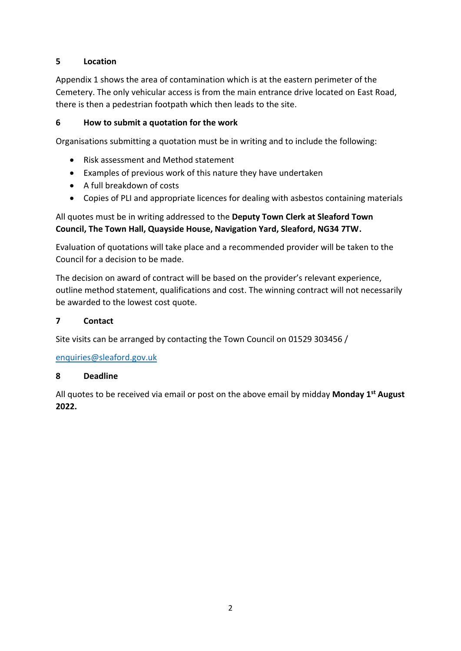## **5 Location**

Appendix 1 shows the area of contamination which is at the eastern perimeter of the Cemetery. The only vehicular access is from the main entrance drive located on East Road, there is then a pedestrian footpath which then leads to the site.

#### **6 How to submit a quotation for the work**

Organisations submitting a quotation must be in writing and to include the following:

- Risk assessment and Method statement
- Examples of previous work of this nature they have undertaken
- A full breakdown of costs
- Copies of PLI and appropriate licences for dealing with asbestos containing materials

## All quotes must be in writing addressed to the **Deputy Town Clerk at Sleaford Town Council, The Town Hall, Quayside House, Navigation Yard, Sleaford, NG34 7TW.**

Evaluation of quotations will take place and a recommended provider will be taken to the Council for a decision to be made.

The decision on award of contract will be based on the provider's relevant experience, outline method statement, qualifications and cost. The winning contract will not necessarily be awarded to the lowest cost quote.

#### **7 Contact**

Site visits can be arranged by contacting the Town Council on 01529 303456 /

[enquiries@sleaford.gov.uk](mailto:enquiries@sleaford.gov.uk)

#### **8 Deadline**

All quotes to be received via email or post on the above email by midday **Monday 1st August 2022.**